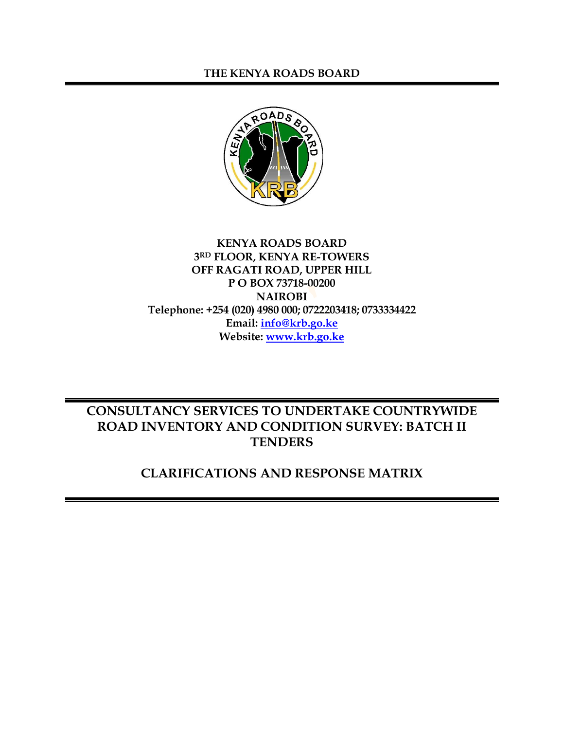#### **THE KENYA ROADS BOARD**



#### **KENYA ROADS BOARD 3 RD FLOOR, KENYA RE-TOWERS OFF RAGATI ROAD, UPPER HILL P O BOX 73718-00200 NAIROBI Telephone: +254 (020) 4980 000; 0722203418; 0733334422 Email: [info@krb.go.ke](mailto:info@krb.go.ke) Website: [www.krb.go.ke](http://www.krb.go.ke/)**

# **CONSULTANCY SERVICES TO UNDERTAKE COUNTRYWIDE ROAD INVENTORY AND CONDITION SURVEY: BATCH II TENDERS**

## **CLARIFICATIONS AND RESPONSE MATRIX**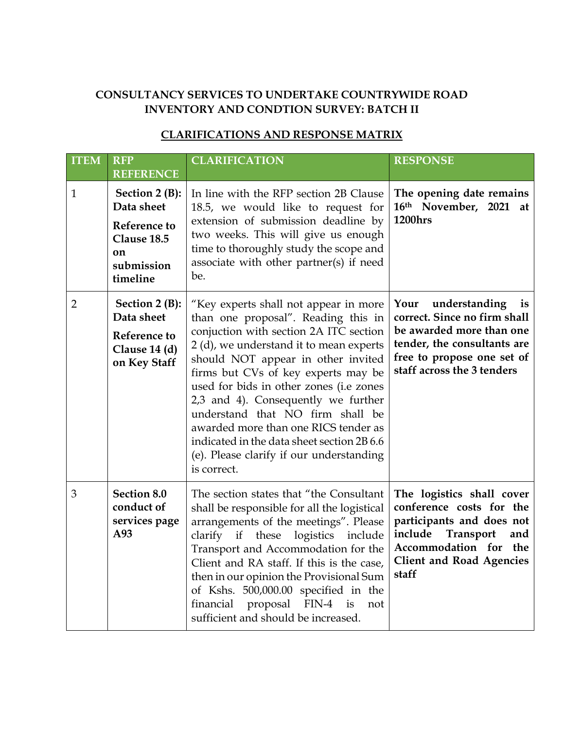## **CONSULTANCY SERVICES TO UNDERTAKE COUNTRYWIDE ROAD INVENTORY AND CONDTION SURVEY: BATCH II**

## **CLARIFICATIONS AND RESPONSE MATRIX**

| <b>ITEM</b>    | <b>RFP</b><br><b>REFERENCE</b>                                                                       | <b>CLARIFICATION</b>                                                                                                                                                                                                                                                                                                                                                                                                                                                                                                  | <b>RESPONSE</b>                                                                                                                                                                               |
|----------------|------------------------------------------------------------------------------------------------------|-----------------------------------------------------------------------------------------------------------------------------------------------------------------------------------------------------------------------------------------------------------------------------------------------------------------------------------------------------------------------------------------------------------------------------------------------------------------------------------------------------------------------|-----------------------------------------------------------------------------------------------------------------------------------------------------------------------------------------------|
| $\mathbf{1}$   | Section $2(B)$ :<br>Data sheet<br><b>Reference to</b><br>Clause 18.5<br>on<br>submission<br>timeline | In line with the RFP section 2B Clause<br>18.5, we would like to request for<br>extension of submission deadline by<br>two weeks. This will give us enough<br>time to thoroughly study the scope and<br>associate with other partner(s) if need<br>be.                                                                                                                                                                                                                                                                | The opening date remains<br>16th November, 2021 at<br><b>1200hrs</b>                                                                                                                          |
| $\overline{2}$ | Section 2 (B):<br>Data sheet<br>Reference to<br>Clause 14 (d)<br>on Key Staff                        | "Key experts shall not appear in more<br>than one proposal". Reading this in<br>conjuction with section 2A ITC section<br>2 (d), we understand it to mean experts<br>should NOT appear in other invited<br>firms but CVs of key experts may be<br>used for bids in other zones (i.e zones<br>2,3 and 4). Consequently we further<br>understand that NO firm shall be<br>awarded more than one RICS tender as<br>indicated in the data sheet section 2B 6.6<br>(e). Please clarify if our understanding<br>is correct. | understanding<br>Your<br>is<br>correct. Since no firm shall<br>be awarded more than one<br>tender, the consultants are<br>free to propose one set of<br>staff across the 3 tenders            |
| 3              | Section 8.0<br>conduct of<br>services page<br>A93                                                    | The section states that "the Consultant<br>shall be responsible for all the logistical<br>arrangements of the meetings". Please<br>if<br>these<br>logistics<br>clarify<br>include<br>Transport and Accommodation for the<br>Client and RA staff. If this is the case,<br>then in our opinion the Provisional Sum<br>of Kshs. 500,000.00 specified in the<br>proposal FIN-4<br>financial<br>is<br>not<br>sufficient and should be increased.                                                                           | The logistics shall cover<br>conference costs for the<br>participants and does not<br>include<br><b>Transport</b><br>and<br>Accommodation for the<br><b>Client and Road Agencies</b><br>staff |